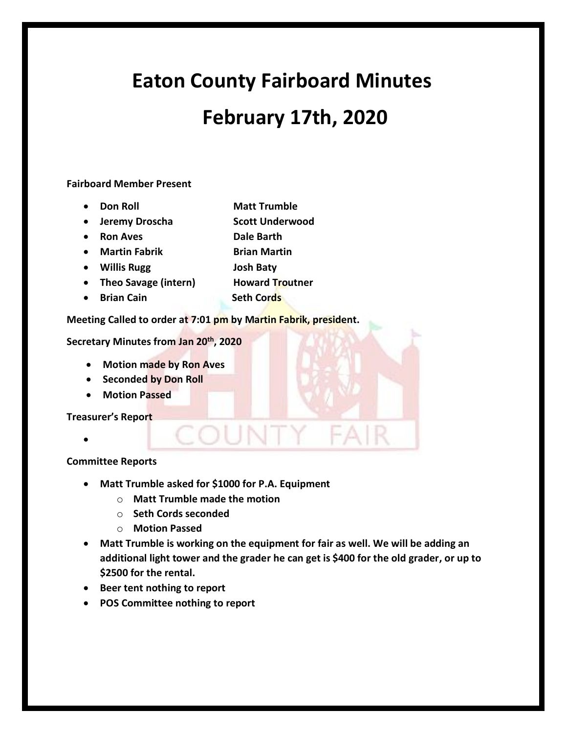# **Eaton County Fairboard Minutes February 17th, 2020**

### **Fairboard Member Present**

- **Don Roll** Matt Trumble
- **Jeremy Droscha Scott Underwood**
- **Ron Aves Dale Barth**
- **Martin Fabrik Brian Martin**
- **Willis Rugg Josh Baty**
- **Theo Savage (intern)** Howard Troutner
- **Brian Cain** Seth Cords

## **Meeting Called to order at 7:01 pm by Martin Fabrik, president.**

**Secretary Minutes from Jan 20th, 2020** 

- **Motion made by Ron Aves**
- **Seconded by Don Roll**
- **Motion Passed**

**Treasurer's Report** 

•

# **Committee Reports**

- **Matt Trumble asked for \$1000 for P.A. Equipment**
	- o **Matt Trumble made the motion**
	- o **Seth Cords seconded**
	- o **Motion Passed**
- **Matt Trumble is working on the equipment for fair as well. We will be adding an additional light tower and the grader he can get is \$400 for the old grader, or up to \$2500 for the rental.**

FAR

COUNTY

- **Beer tent nothing to report**
- **POS Committee nothing to report**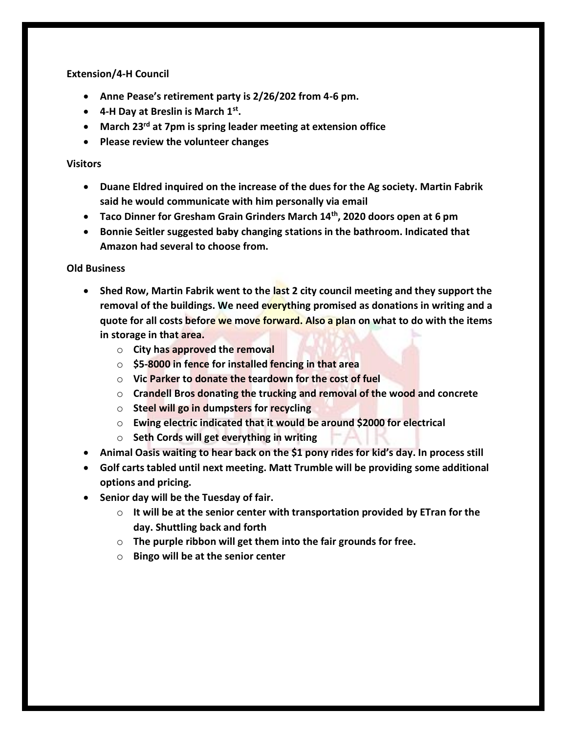#### **Extension/4-H Council**

- **Anne Pease's retirement party is 2/26/202 from 4-6 pm.**
- **4-H Day at Breslin is March 1st .**
- **March 23rd at 7pm is spring leader meeting at extension office**
- **Please review the volunteer changes**

#### **Visitors**

- **Duane Eldred inquired on the increase of the dues for the Ag society. Martin Fabrik said he would communicate with him personally via email**
- **Taco Dinner for Gresham Grain Grinders March 14th, 2020 doors open at 6 pm**
- **Bonnie Seitler suggested baby changing stations in the bathroom. Indicated that Amazon had several to choose from.**

#### **Old Business**

- **Shed Row, Martin Fabrik went to the last 2 city council meeting and they support the removal of the buildings. We need everything promised as donations in writing and a quote for all costs before we move forward. Also a plan on what to do with the items in storage in that area.**
	- o **City has approved the removal**
	- o **\$5-8000 in fence for installed fencing in that area**
	- o **Vic Parker to donate the teardown for the cost of fuel**
	- o **Crandell Bros donating the trucking and removal of the wood and concrete**
	- o **Steel will go in dumpsters for recycling**
	- o **Ewing electric indicated that it would be around \$2000 for electrical**
	- o **Seth Cords will get everything in writing**
- **Animal Oasis waiting to hear back on the \$1 pony rides for kid's day. In process still**
- **Golf carts tabled until next meeting. Matt Trumble will be providing some additional options and pricing.**
- **Senior day will be the Tuesday of fair.**
	- o **It will be at the senior center with transportation provided by ETran for the day. Shuttling back and forth**
	- o **The purple ribbon will get them into the fair grounds for free.**
	- o **Bingo will be at the senior center**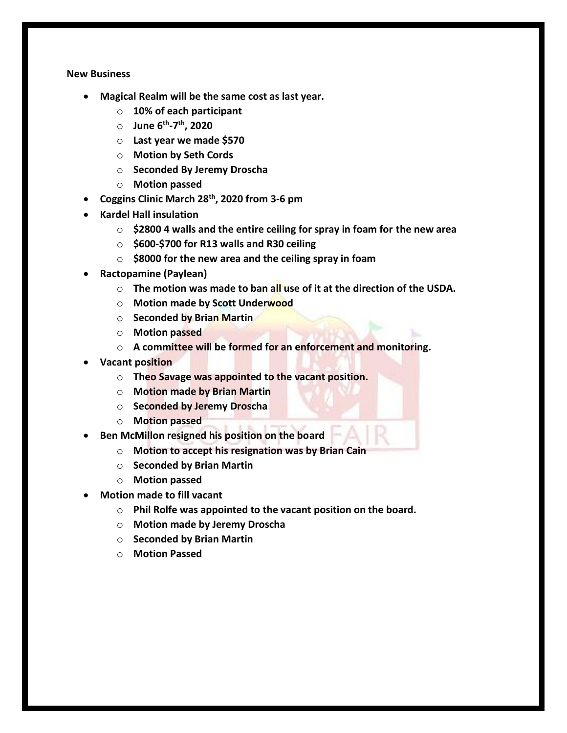#### **New Business**

- **Magical Realm will be the same cost as last year.**
	- o **10% of each participant**
	- o **June 6th -7 th, 2020**
	- o **Last year we made \$570**
	- o **Motion by Seth Cords**
	- o **Seconded By Jeremy Droscha**
	- o **Motion passed**
- **Coggins Clinic March 28th, 2020 from 3-6 pm**
- **Kardel Hall insulation** 
	- o **\$2800 4 walls and the entire ceiling for spray in foam for the new area**
	- o **\$600-\$700 for R13 walls and R30 ceiling**
	- o **\$8000 for the new area and the ceiling spray in foam**
- **Ractopamine (Paylean)**
	- o **The motion was made to ban all use of it at the direction of the USDA.**
	- o **Motion made by Scott Underwood**
	- o **Seconded by Brian Martin**
	- o **Motion passed**
	- o **A committee will be formed for an enforcement and monitoring.**
- **Vacant position**
	- o **Theo Savage was appointed to the vacant position.**
	- o **Motion made by Brian Martin**
	- o **Seconded by Jeremy Droscha**
	- o **Motion passed**
- **Ben McMillon resigned his position on the board**
	- o **Motion to accept his resignation was by Brian Cain**
	- o **Seconded by Brian Martin**
	- o **Motion passed**
- **Motion made to fill vacant**
	- o **Phil Rolfe was appointed to the vacant position on the board.**
	- o **Motion made by Jeremy Droscha**
	- o **Seconded by Brian Martin**
	- o **Motion Passed**